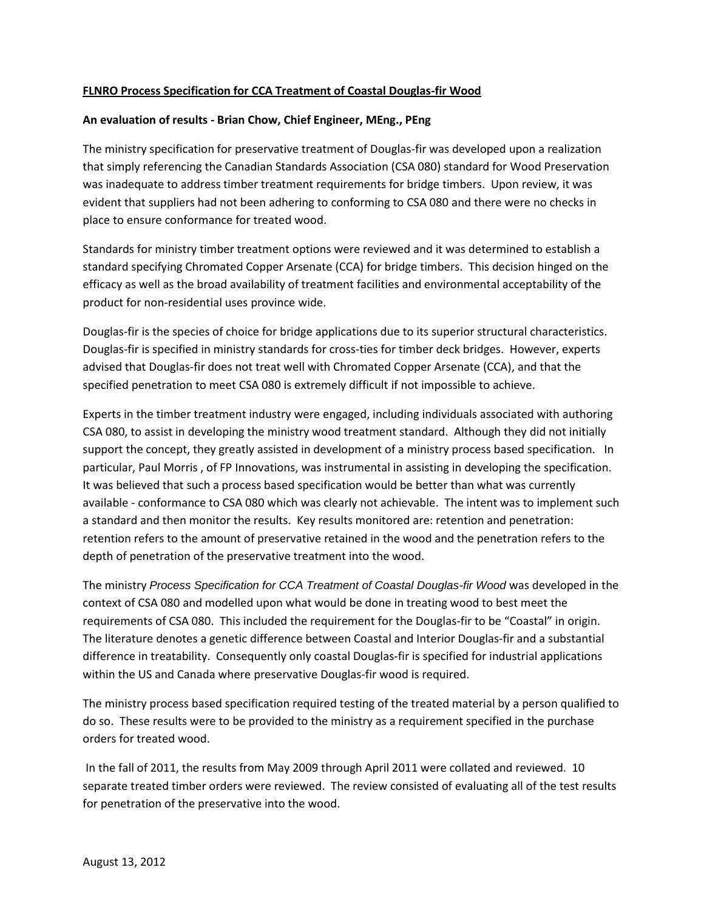## **FLNRO Process Specification for CCA Treatment of Coastal Douglas-fir Wood**

## **An evaluation of results - Brian Chow, Chief Engineer, MEng., PEng**

The ministry specification for preservative treatment of Douglas-fir was developed upon a realization that simply referencing the Canadian Standards Association (CSA 080) standard for Wood Preservation was inadequate to address timber treatment requirements for bridge timbers. Upon review, it was evident that suppliers had not been adhering to conforming to CSA 080 and there were no checks in place to ensure conformance for treated wood.

Standards for ministry timber treatment options were reviewed and it was determined to establish a standard specifying Chromated Copper Arsenate (CCA) for bridge timbers. This decision hinged on the efficacy as well as the broad availability of treatment facilities and environmental acceptability of the product for non-residential uses province wide.

Douglas-fir is the species of choice for bridge applications due to its superior structural characteristics. Douglas-fir is specified in ministry standards for cross-ties for timber deck bridges. However, experts advised that Douglas-fir does not treat well with Chromated Copper Arsenate (CCA), and that the specified penetration to meet CSA 080 is extremely difficult if not impossible to achieve.

Experts in the timber treatment industry were engaged, including individuals associated with authoring CSA 080, to assist in developing the ministry wood treatment standard. Although they did not initially support the concept, they greatly assisted in development of a ministry process based specification. In particular, Paul Morris , of FP Innovations, was instrumental in assisting in developing the specification. It was believed that such a process based specification would be better than what was currently available - conformance to CSA 080 which was clearly not achievable. The intent was to implement such a standard and then monitor the results. Key results monitored are: retention and penetration: retention refers to the amount of preservative retained in the wood and the penetration refers to the depth of penetration of the preservative treatment into the wood.

The ministry *Process Specification for CCA Treatment of Coastal Douglas-fir Wood* was developed in the context of CSA 080 and modelled upon what would be done in treating wood to best meet the requirements of CSA 080. This included the requirement for the Douglas-fir to be "Coastal" in origin. The literature denotes a genetic difference between Coastal and Interior Douglas-fir and a substantial difference in treatability. Consequently only coastal Douglas-fir is specified for industrial applications within the US and Canada where preservative Douglas-fir wood is required.

The ministry process based specification required testing of the treated material by a person qualified to do so. These results were to be provided to the ministry as a requirement specified in the purchase orders for treated wood.

In the fall of 2011, the results from May 2009 through April 2011 were collated and reviewed. 10 separate treated timber orders were reviewed. The review consisted of evaluating all of the test results for penetration of the preservative into the wood.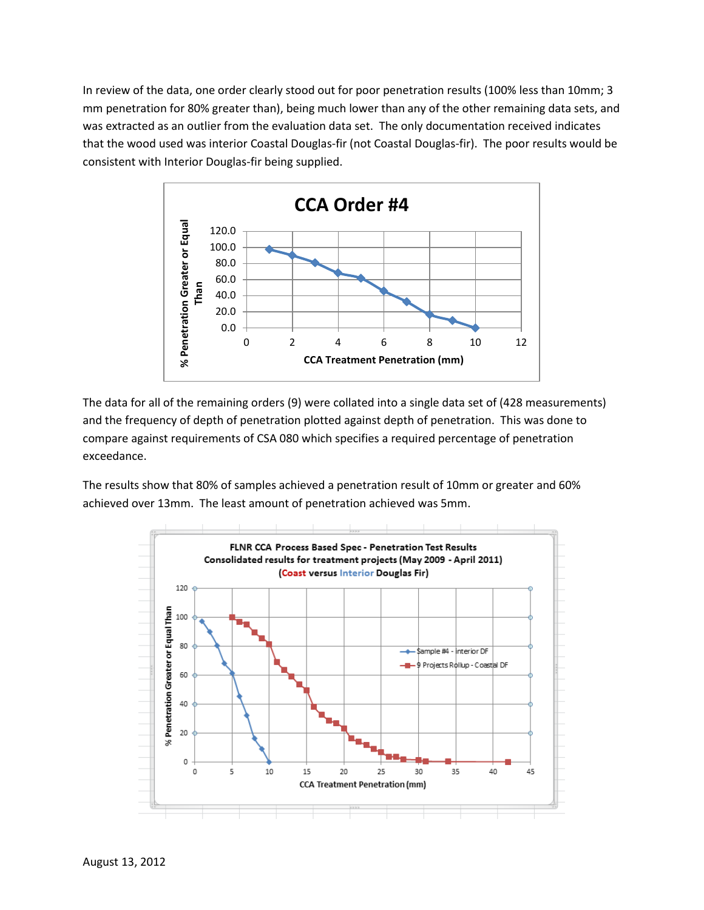In review of the data, one order clearly stood out for poor penetration results (100% less than 10mm; 3 mm penetration for 80% greater than), being much lower than any of the other remaining data sets, and was extracted as an outlier from the evaluation data set. The only documentation received indicates that the wood used was interior Coastal Douglas-fir (not Coastal Douglas-fir). The poor results would be consistent with Interior Douglas-fir being supplied.



The data for all of the remaining orders (9) were collated into a single data set of (428 measurements) and the frequency of depth of penetration plotted against depth of penetration. This was done to compare against requirements of CSA 080 which specifies a required percentage of penetration exceedance.

The results show that 80% of samples achieved a penetration result of 10mm or greater and 60% achieved over 13mm. The least amount of penetration achieved was 5mm.